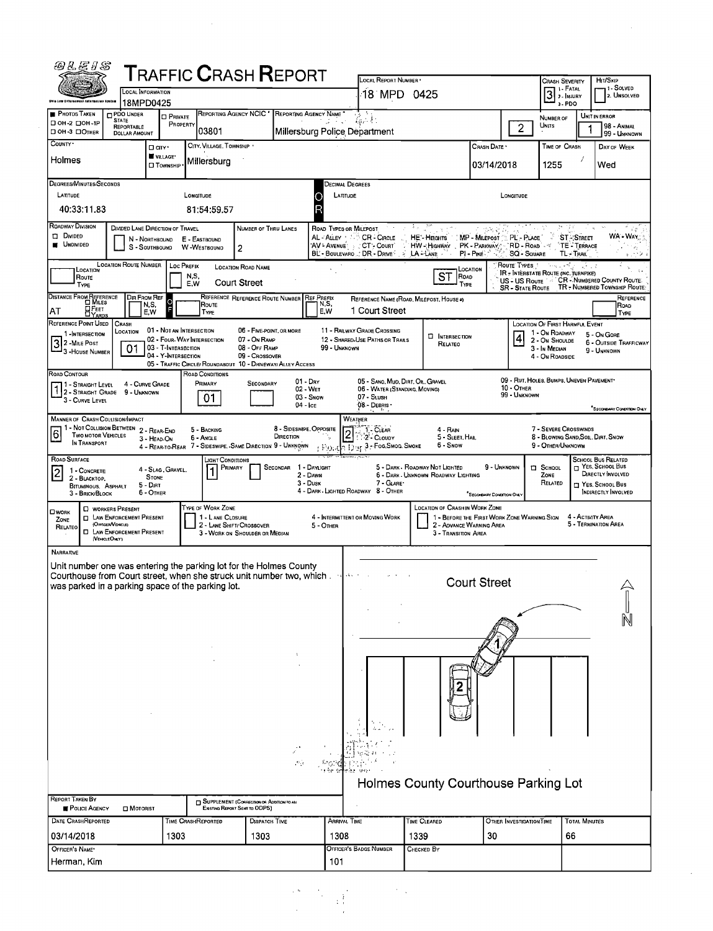| <i>@&amp;E \$</i>                                                                                                                 |                                                                        |                              |                                       | <b>TRAFFIC CRASH REPORT</b>                                                      |                               |                                    |                                                                            |                                                                               |                                      |                                   |                                                         |                                              |                                                                                |
|-----------------------------------------------------------------------------------------------------------------------------------|------------------------------------------------------------------------|------------------------------|---------------------------------------|----------------------------------------------------------------------------------|-------------------------------|------------------------------------|----------------------------------------------------------------------------|-------------------------------------------------------------------------------|--------------------------------------|-----------------------------------|---------------------------------------------------------|----------------------------------------------|--------------------------------------------------------------------------------|
|                                                                                                                                   | LOCAL INFORMATION                                                      |                              |                                       |                                                                                  |                               |                                    | LOCAL REPORT NUMBER<br>18 MPD 0425                                         |                                                                               |                                      |                                   | CRASH SEVERITY<br>1 i - Fatal                           |                                              | HIT/SKIP<br>11 - Solved                                                        |
| Chia Lew Enforcement totormation Ayetam                                                                                           | 18MPD0425                                                              |                              |                                       |                                                                                  |                               |                                    |                                                                            |                                                                               |                                      |                                   | $3$ $\cdot$ FATAL<br>3. PDO                             |                                              | 2. UNSOLVED                                                                    |
| <b>PHOTOS TAKEN</b><br>$\Box$ OH -2 $\Box$ OH -1P                                                                                 | <b>DPDO UNDER</b><br><b>STATE</b><br><b>REPORTABLE</b>                 | <b>O PRIVATE</b><br>PROPERTY |                                       | <b>REPORTING AGENCY NCIC *</b>                                                   | REPORTING AGENCY NAME         | プロテレ                               |                                                                            |                                                                               |                                      | $\overline{2}$                    | NUMBER OF<br>UNITS                                      |                                              | UNIT IN ERROR<br>98 - ANIMAL                                                   |
| OH-3 DOTHER<br>COUNTY <sup>.</sup>                                                                                                | DOLLAR AMOUNT<br>□ arv·                                                |                              | 03801<br>CITY, VILLAGE, TOWNSHIP      |                                                                                  | Millersburg Police Department |                                    |                                                                            |                                                                               | Crash Date *                         |                                   | TIME OF CRASH                                           |                                              | 99 - UNKNOWN<br>DAY OF WEEK                                                    |
| Holmes                                                                                                                            |                                                                        | VILLAGE*                     | Millersburg                           |                                                                                  |                               |                                    |                                                                            |                                                                               | 03/14/2018                           |                                   | 1255                                                    |                                              | Wed                                                                            |
|                                                                                                                                   |                                                                        | □ Township                   |                                       |                                                                                  |                               |                                    |                                                                            |                                                                               |                                      |                                   |                                                         |                                              |                                                                                |
| DEGREES/MINUTES/SECONDS<br>LATITUDE                                                                                               |                                                                        |                              | LONGITUDE                             |                                                                                  | О                             | Decimal Degrees<br><b>LATITUDE</b> |                                                                            |                                                                               |                                      | LONGITUDE                         |                                                         |                                              |                                                                                |
| 40:33:11.83                                                                                                                       |                                                                        |                              | 81:54:59.57                           |                                                                                  |                               |                                    |                                                                            |                                                                               |                                      |                                   |                                                         |                                              |                                                                                |
| ROADWAY DIVISION                                                                                                                  | DIVIDED LANE DIRECTION OF TRAVEL                                       |                              |                                       | NUMBER OF THRU LANES                                                             |                               | ROAD TYPES OR MILEPOST             |                                                                            | 32 J                                                                          | 地名安                                  |                                   |                                                         | 94                                           | √e.                                                                            |
| <b>Divided</b><br><b>UNDIVIDED</b>                                                                                                | N - Northbound<br>S - SOUTHBOUND                                       |                              | E - EASTBOUND<br>W-WESTBOUNO          | $\overline{c}$                                                                   |                               | AL⊰Aûey ∸ ∴‴                       | <b>CR-CIRCLE</b><br>AV - Avenue : CT - Court<br>BL - BOULEVARO  DR - DRIVE | HE - HEGHTS<br>HW - HIGHWAY PK - PARKWAY PRD - ROAD<br>LA-LANE                | MP - MILEPOST MPL' - PLACE<br>PI-PKE | <b>SQ - SQUARE</b>                |                                                         | <b>ST-STREET</b><br>TE - TERRACE<br>TL-TRAIL | WA - WAY,<br>$\phi_{\alpha_2}$                                                 |
| LOCATION<br>Route                                                                                                                 | LOCATION ROUTE NUMBER                                                  | Loc PREFIX                   | N,S,                                  | LOCATION ROAD NAME                                                               |                               |                                    |                                                                            | ST<br>ROAD                                                                    | LOCATION                             | <b>ROUTE TYPES</b>                | is og alleith<br>IR - Intérstate Route (INC. TURNPIKE)  | i ve e s                                     |                                                                                |
| TYPE                                                                                                                              |                                                                        |                              | E,W                                   | <b>Court Street</b>                                                              |                               |                                    |                                                                            | TYPE                                                                          |                                      | <b>SR - STATE ROUTE</b>           |                                                         |                                              | US - US ROUTE 146 CR - NUMBERED COUNTY ROUTE:<br>TR - NUMBERED TOWNSHIP ROUTE: |
| DISTANCE FROM REFERENCE<br><b>H</b> FEET<br>AT                                                                                    | DIR FROM REF<br>N,S,<br>E,W                                            | F                            | Route<br>TYPE                         | REFERENCE REFERENCE ROUTE NUMBER REF PREFIX                                      |                               | N,S,<br>E,W                        | 1 Court Street                                                             | REFERENCE NAME (ROAD, MILEPOST, HOUSE #)                                      |                                      |                                   |                                                         |                                              | REFERENCE<br>ROAD<br>TYPE                                                      |
| REFERENCE POINT USED                                                                                                              | CRASH                                                                  |                              | 01 - NOT AN INTERSECTION              | 06 - FIVE-POINT, OR MORE                                                         |                               |                                    | 11 - RAILWAY GRADE CROSSING                                                |                                                                               |                                      |                                   | LOCATION OF FIRST HARMFUL EVENT                         |                                              |                                                                                |
| 1-INTERSECTION<br>3 2 - Mile Post                                                                                                 | LOCATION                                                               | 03 - T-INTERSECTION          | 02 - FOUR-WAY INTERSECTION            | 07 - On RAMP<br>08 - OFF RAMP                                                    |                               | 99 - UNKNOWN                       | 12 - SHARED-USE PATHS OR TRAILS                                            | <b>INTERSECTION</b><br>RELATEO                                                |                                      | $\vert$                           | 1 - On ROADWAY<br>2 - On Shoulde                        |                                              | 5 - On Gore<br><b>6 - OUTSIDE TRAFFICWAY</b>                                   |
| 3 - House Number                                                                                                                  | 01                                                                     | 04 - Y-INTERSECTION          |                                       | 09 - Crossover<br>05 - TRAFFIC CIRCLE/ ROUNDABOUT 10 - DRIVEWAY/ ALLEY ACCESS    |                               |                                    |                                                                            |                                                                               |                                      |                                   | 3 - In Median<br>4 - On Roadside                        |                                              | 9 - UNKNOWN                                                                    |
| ROAD CONTOUR                                                                                                                      |                                                                        |                              | ROAD CONDITIONS                       |                                                                                  | 01 - Dry                      |                                    | 05 - SANO, MUD, DIRT, OIL, GRAVEL                                          |                                                                               |                                      |                                   | 09 - RUT. HOLES, BUMPS, UNEVEN PAVEMENT*                |                                              |                                                                                |
| 1 - Straight Level<br>12-STRAIGHT GRADE 9 - UNKNOWN                                                                               | 4 - CURVE GRADE                                                        |                              | PRIMARY<br>01                         | SECONDARY                                                                        | 02 - Wet<br>03 - Snow         |                                    | 06 - WATER (STANDING, MOVING)<br>07 - SLush                                |                                                                               |                                      | <b>10 - OTHER</b><br>99 - Unknown |                                                         |                                              |                                                                                |
| 3 - CURVE LEVEL                                                                                                                   |                                                                        |                              |                                       |                                                                                  | $04 - \text{ice}$             |                                    | 08 - DEBRIS ·                                                              |                                                                               |                                      |                                   |                                                         |                                              | SECONDARY CONDITION ONLY                                                       |
| <b>MANNER OF CRASH COLLISION/IMPACT</b>                                                                                           | 1 - NOT COLLISION BETWEEN 2 - REAR-END                                 |                              | 5 - Backing                           |                                                                                  | 8 - SIDESWIPE, OPPOSITE       | WEATHER                            | $1 - \overline{C}$ lear                                                    | 4 - RAIN                                                                      |                                      |                                   | 7 - SEVERE CROSSWINDS                                   |                                              |                                                                                |
| 6<br>TWO MOTOR VEHICLES<br>IN TRANSPORT                                                                                           | 3 - HEAD-ON                                                            |                              | 6 - Angle                             | 4 - REAR-TO-REAR 7 - SIDESWIPE, -SAME DIRECTION 9 - UNKNOWN                      | DIRECTION                     | $\overline{2}$<br>r Ponc           | 2- CLOUDY<br>$\sqrt{2 \cdot 1}$ $\cdot$ уг 3 - Гос, Sмос, Sмоке            | 5 - SLEET, HAIL<br>6 - Snow                                                   |                                      |                                   | 8 - BLOWING SAND, SOIL, DIRT, SNOW<br>9 - OTHER/UNKNOWN |                                              |                                                                                |
| ROAD SURFACE                                                                                                                      |                                                                        |                              | Light Conditions                      | PRIMARY                                                                          | SECONDAR 1 - DAYLIGHT         |                                    |                                                                            | 5 - DARK - ROADWAY NOT LIGHTED                                                | 9 - UNKNOWN                          |                                   | $\Box$ SCHOOL                                           |                                              | <b>SCHOOL BUS RELATED</b><br>T YES, SCHOOL BUS                                 |
| 1 - CONCRETE<br>$\vert$ 2<br>2 - BLACKTOP,<br><b>BITUMINOUS, ASPHALT</b>                                                          | <b>STONE</b><br>$5 - Dir$                                              | 4 - SLAG, GRAVEL.            |                                       |                                                                                  | 2 - DAWN<br>$3 - D$ usk       |                                    | 7 - GLARE*                                                                 | 6 - DARK - UNKNOWN ROADWAY LIGHTING                                           |                                      |                                   | ZONE<br>RELATED                                         |                                              | DIRECTLY INVOLVED<br>YES. SCHOOL BUS                                           |
| 3 - BRICK/BLOCK                                                                                                                   | 6 - OTHER                                                              |                              |                                       |                                                                                  |                               |                                    | 4 - DARK - LIGHTED ROADWAY 8 - OTHER                                       |                                                                               | "SECONDARY CONDITION ONLY            |                                   |                                                         |                                              | INDIRECTLY INVOLVED                                                            |
| <b>OWORK</b><br>ZONE                                                                                                              | <b>C WORKERS PRESENT</b><br><b>D</b> LAW ENFORCEMENT PRESENT           |                              | TYPE OF WORK ZONE<br>1 - LANE CLOSURE |                                                                                  |                               |                                    | 4 - INTERMITTENT OR MOVING WORK                                            | LOCATION OF CRASH IN WORK ZONE<br>1 - BEFORE THE FIRST WORK ZONE WARNING SIGN |                                      |                                   |                                                         | 4 - Activity Area                            |                                                                                |
| RELATEO                                                                                                                           | (Officen/Vencle)<br><b>ID LAW ENFORCEMENT PRESENT</b><br>(VEHICLEONLY) |                              |                                       | 2 - LANE SHIFT/ CROSSOVER<br>3 - WORK ON SHOULDER OR MEDIAN                      |                               | 5 - OTHER                          |                                                                            | 2 - ADVANCE WARNING AREA<br>3 - TRANSITION AREA                               |                                      |                                   |                                                         |                                              | 5 - TERMINATION AREA                                                           |
| NARRATIVE                                                                                                                         |                                                                        |                              |                                       |                                                                                  |                               |                                    |                                                                            |                                                                               |                                      |                                   |                                                         |                                              |                                                                                |
| Unit number one was entering the parking lot for the Holmes County                                                                |                                                                        |                              |                                       |                                                                                  |                               |                                    |                                                                            |                                                                               |                                      |                                   |                                                         |                                              |                                                                                |
| Courthouse from Court street, when she struck unit number two, which and the<br>was parked in a parking space of the parking lot. |                                                                        |                              |                                       |                                                                                  |                               |                                    |                                                                            |                                                                               | <b>Court Street</b>                  |                                   |                                                         |                                              |                                                                                |
|                                                                                                                                   |                                                                        |                              |                                       |                                                                                  |                               |                                    |                                                                            |                                                                               |                                      |                                   |                                                         |                                              |                                                                                |
|                                                                                                                                   |                                                                        |                              |                                       |                                                                                  |                               |                                    |                                                                            |                                                                               |                                      |                                   |                                                         |                                              |                                                                                |
|                                                                                                                                   |                                                                        |                              |                                       |                                                                                  |                               |                                    |                                                                            |                                                                               |                                      |                                   |                                                         |                                              |                                                                                |
|                                                                                                                                   |                                                                        |                              |                                       |                                                                                  |                               |                                    |                                                                            |                                                                               |                                      |                                   |                                                         |                                              |                                                                                |
|                                                                                                                                   |                                                                        |                              |                                       |                                                                                  |                               |                                    |                                                                            |                                                                               |                                      |                                   |                                                         |                                              |                                                                                |
|                                                                                                                                   |                                                                        |                              |                                       |                                                                                  |                               |                                    |                                                                            |                                                                               |                                      |                                   |                                                         |                                              |                                                                                |
|                                                                                                                                   |                                                                        |                              |                                       |                                                                                  |                               |                                    |                                                                            |                                                                               |                                      |                                   |                                                         |                                              |                                                                                |
|                                                                                                                                   |                                                                        |                              |                                       |                                                                                  |                               |                                    |                                                                            |                                                                               |                                      |                                   |                                                         |                                              |                                                                                |
|                                                                                                                                   |                                                                        |                              |                                       |                                                                                  |                               |                                    |                                                                            |                                                                               |                                      |                                   |                                                         |                                              |                                                                                |
|                                                                                                                                   |                                                                        |                              |                                       |                                                                                  |                               |                                    |                                                                            |                                                                               |                                      |                                   |                                                         |                                              |                                                                                |
|                                                                                                                                   |                                                                        |                              |                                       |                                                                                  | P.                            |                                    |                                                                            |                                                                               |                                      |                                   |                                                         |                                              |                                                                                |
|                                                                                                                                   |                                                                        |                              |                                       |                                                                                  |                               |                                    |                                                                            | Holmes County Courthouse Parking Lot                                          |                                      |                                   |                                                         |                                              |                                                                                |
| <b>REPORT TAKEN BY</b><br>POLICE AGENCY                                                                                           | <b>D</b> MOTORIST                                                      |                              |                                       | <b>SUPPLEMENT (CORRECTION OR ADDITION TO AN</b><br>EXISTING REPORT SENT TO ODPS) |                               |                                    |                                                                            |                                                                               |                                      |                                   |                                                         |                                              |                                                                                |
| DATE CRASHREPORTED                                                                                                                |                                                                        |                              | TIME CRASHREPORTED                    | DISPATCH TIME                                                                    |                               | Arrival Time                       |                                                                            | TIME CLEARED                                                                  |                                      | OTHER INVESTIGATION TIME          |                                                         | <b>TOTAL MINUTES</b>                         |                                                                                |
| 03/14/2018                                                                                                                        |                                                                        | 1303                         |                                       | 1303                                                                             |                               | 1308                               |                                                                            | 1339                                                                          | 30                                   |                                   |                                                         | 66                                           |                                                                                |
| OFFICER'S NAME*<br>Herman, Kim                                                                                                    |                                                                        |                              |                                       |                                                                                  |                               | 101                                | OFFICER'S BADGE NUMBER                                                     | CHECKED BY                                                                    |                                      |                                   |                                                         |                                              |                                                                                |
|                                                                                                                                   |                                                                        |                              |                                       |                                                                                  |                               |                                    |                                                                            |                                                                               |                                      |                                   |                                                         |                                              |                                                                                |

 $\label{eq:2.1} \frac{1}{\sqrt{2}}\int_{0}^{\infty}\frac{1}{\sqrt{2\pi}}\left(\frac{1}{\sqrt{2}}\right)^{2}d\mu\left(\frac{1}{\sqrt{2}}\right)$ 

 $\label{eq:1} \frac{1}{\sqrt{2}}\left(\frac{1}{\sqrt{2}}\right)^2\frac{1}{\sqrt{2}}\left(\frac{1}{\sqrt{2}}\right)^2.$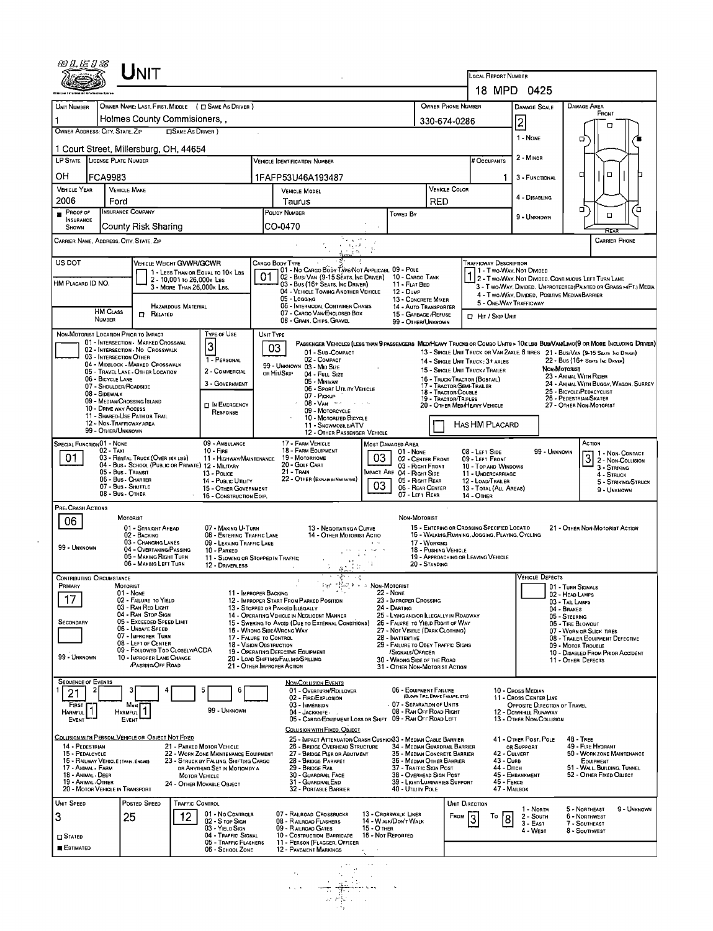|                                             |                                                                                                 |                                                                                |                                                                                                         |                                                               |                                                                                                | LOCAL REPORT NUMBER                         |                                                                                                                                                                                                                                                                                                                                                                                                                                                                                                                                                                                                                                                                                                                                                                                                                                                                                                                                                                                                                                                      |                                                        |
|---------------------------------------------|-------------------------------------------------------------------------------------------------|--------------------------------------------------------------------------------|---------------------------------------------------------------------------------------------------------|---------------------------------------------------------------|------------------------------------------------------------------------------------------------|---------------------------------------------|------------------------------------------------------------------------------------------------------------------------------------------------------------------------------------------------------------------------------------------------------------------------------------------------------------------------------------------------------------------------------------------------------------------------------------------------------------------------------------------------------------------------------------------------------------------------------------------------------------------------------------------------------------------------------------------------------------------------------------------------------------------------------------------------------------------------------------------------------------------------------------------------------------------------------------------------------------------------------------------------------------------------------------------------------|--------------------------------------------------------|
| UNIT NUMBER                                 |                                                                                                 | OWNER NAME: LAST, FIRST, MIDDLE ( C) SAME AS DRIVER )                          |                                                                                                         |                                                               | OWNER PHONE NUMBER                                                                             |                                             |                                                                                                                                                                                                                                                                                                                                                                                                                                                                                                                                                                                                                                                                                                                                                                                                                                                                                                                                                                                                                                                      |                                                        |
|                                             |                                                                                                 | Holmes County Commisioners,                                                    |                                                                                                         |                                                               | 330-674-0286                                                                                   |                                             |                                                                                                                                                                                                                                                                                                                                                                                                                                                                                                                                                                                                                                                                                                                                                                                                                                                                                                                                                                                                                                                      | FRONT                                                  |
| OWNER ADDRESS: CITY, STATE, ZIP             |                                                                                                 | <b>CISAME AS DRIVER</b> )                                                      |                                                                                                         |                                                               |                                                                                                |                                             |                                                                                                                                                                                                                                                                                                                                                                                                                                                                                                                                                                                                                                                                                                                                                                                                                                                                                                                                                                                                                                                      | п                                                      |
|                                             | 1 Court Street, Millersburg, OH, 44654                                                          |                                                                                |                                                                                                         |                                                               |                                                                                                |                                             |                                                                                                                                                                                                                                                                                                                                                                                                                                                                                                                                                                                                                                                                                                                                                                                                                                                                                                                                                                                                                                                      |                                                        |
| LP STATE LICENSE PLATE NUMBER               |                                                                                                 |                                                                                | <b>VEHICLE IDENTIFICATION NUMBER</b>                                                                    |                                                               |                                                                                                | # Occupants                                 | 2 - MINOR                                                                                                                                                                                                                                                                                                                                                                                                                                                                                                                                                                                                                                                                                                                                                                                                                                                                                                                                                                                                                                            |                                                        |
| он                                          | <b>FCA9983</b>                                                                                  |                                                                                | 1FAFP53U46A193487                                                                                       |                                                               |                                                                                                | 1.                                          | 3 - FUNCTIONAL                                                                                                                                                                                                                                                                                                                                                                                                                                                                                                                                                                                                                                                                                                                                                                                                                                                                                                                                                                                                                                       | $\Box$<br>о                                            |
| <b>VEHICLE YEAR</b>                         | <b>VEHICLE MAKE</b>                                                                             |                                                                                | <b>VEHICLE MODEL</b>                                                                                    |                                                               | <b>VEHICLE COLOR</b>                                                                           |                                             | 4 - DISABLING                                                                                                                                                                                                                                                                                                                                                                                                                                                                                                                                                                                                                                                                                                                                                                                                                                                                                                                                                                                                                                        |                                                        |
| 2006<br>PROOF OF                            | Ford<br><b>INSURANCE COMPANY</b>                                                                |                                                                                | Taurus<br>POLICY NUMBER                                                                                 | <b>TOWED BY</b>                                               | RED                                                                                            |                                             |                                                                                                                                                                                                                                                                                                                                                                                                                                                                                                                                                                                                                                                                                                                                                                                                                                                                                                                                                                                                                                                      | $\Box$<br>о<br>α                                       |
| <b>INSURANCE</b><br>SHOWN                   | County Risk Sharing                                                                             |                                                                                | CO-0470                                                                                                 |                                                               |                                                                                                |                                             |                                                                                                                                                                                                                                                                                                                                                                                                                                                                                                                                                                                                                                                                                                                                                                                                                                                                                                                                                                                                                                                      |                                                        |
|                                             | CARRIER NAME, ADDRESS, CITY, STATE, ZIP                                                         |                                                                                | $\epsilon = \epsilon_1 + \lambda$                                                                       | ta gorth<br>$\mathcal{L}_{\mathcal{L}}$                       |                                                                                                |                                             |                                                                                                                                                                                                                                                                                                                                                                                                                                                                                                                                                                                                                                                                                                                                                                                                                                                                                                                                                                                                                                                      | <b>CARRIER PHONE</b>                                   |
| US DOT                                      |                                                                                                 | VEHICLE WEIGHT GVWR/GCWR                                                       | CARGO BODY TYPE<br>101 - No Cargo Body Type/Not Applicabl 09 - Pole                                     |                                                               |                                                                                                | TRAFFICWAY DESCRIPTION                      |                                                                                                                                                                                                                                                                                                                                                                                                                                                                                                                                                                                                                                                                                                                                                                                                                                                                                                                                                                                                                                                      |                                                        |
| HM PLACARD ID NO.                           |                                                                                                 | 1 - LESS THAN OR EQUAL TO 10K LBS<br>2 - 10,001 to 26,000 k Lss                | 01<br>02 - Busi Van (9-15 Séats, Inc Driver) 10 - Cargo Tank<br>03 - Bus (16+ Seats, Inc Driver)        | 11 - FLAT BED                                                 |                                                                                                |                                             |                                                                                                                                                                                                                                                                                                                                                                                                                                                                                                                                                                                                                                                                                                                                                                                                                                                                                                                                                                                                                                                      |                                                        |
|                                             |                                                                                                 | 3 - MORE THAN 26,000K LBS.                                                     | 04 - VEHICLE TOWING ANOTHER VEHICLE<br>05 - Logging                                                     | 12 - Dump                                                     | 13 - CONCRETE MIXER                                                                            |                                             |                                                                                                                                                                                                                                                                                                                                                                                                                                                                                                                                                                                                                                                                                                                                                                                                                                                                                                                                                                                                                                                      |                                                        |
|                                             | <b>HM CLASS</b><br>$\Box$ Related                                                               | <b>HAZARDOUS MATERIAL</b>                                                      | 06 - INTERMODAL CONTAINER CHASIS<br>07 - CARGO VAN/ENCLOSED BOX                                         |                                                               | 14 - Auto Transporter<br>15 - GARBAGE /REFUSE                                                  | <b>D</b> HIT / SKIP UNIT                    |                                                                                                                                                                                                                                                                                                                                                                                                                                                                                                                                                                                                                                                                                                                                                                                                                                                                                                                                                                                                                                                      |                                                        |
|                                             | NUMBER<br>NON-MOTORIST LOCATION PRIOR TO IMPACT                                                 | TYPE OF USE                                                                    | 08 - GRAIN, CHIPS, GRAVEL<br>UNIT TYPE                                                                  |                                                               | 99 - OTHER/UNKNOWN                                                                             |                                             |                                                                                                                                                                                                                                                                                                                                                                                                                                                                                                                                                                                                                                                                                                                                                                                                                                                                                                                                                                                                                                                      |                                                        |
|                                             | 01 - INTERSECTION - MARKED CROSSWAL                                                             | 3                                                                              | 03                                                                                                      |                                                               |                                                                                                |                                             |                                                                                                                                                                                                                                                                                                                                                                                                                                                                                                                                                                                                                                                                                                                                                                                                                                                                                                                                                                                                                                                      |                                                        |
|                                             | 02 - Intersection - No Crosswalk<br>03 - INTERSECTION OTHER<br>04 - MIDBLOCK - MARKED CROSSWALK | 1 - PERSONAL                                                                   | 01 - Sub-COMPACT<br>02 - COMPACT                                                                        |                                                               | 14 - SINGLE UNIT TRUCK: 3+ AXLES                                                               |                                             |                                                                                                                                                                                                                                                                                                                                                                                                                                                                                                                                                                                                                                                                                                                                                                                                                                                                                                                                                                                                                                                      | 22 - BUS (16+ SEATS INC DRIVER)                        |
|                                             | 05 - Travel LANE - OTHER LOCATION<br>06 - BICYCLE LANE                                          | 2 - COMMERCIAL                                                                 | 99 - UNKNOWN 03 - MID SIZE<br>OR HIT/SKIP<br>04 - Full Size                                             |                                                               | 15 - SINGLE UNIT TRUCK / TRAILER<br>16 - TRUCK/TRACTOR (BOBTAIL)                               |                                             |                                                                                                                                                                                                                                                                                                                                                                                                                                                                                                                                                                                                                                                                                                                                                                                                                                                                                                                                                                                                                                                      |                                                        |
| 08 - Sidewalk                               | 07 - SHOULDER/ROADSIDE                                                                          | 3 - GOVERNMENT                                                                 | 05 - Minivan<br>06 - Sport Utility Vehicle<br>07 - Pickup                                               |                                                               | 17 - TRACTOR/SEMI-TRAILER<br>18 - Tractor/Double                                               |                                             |                                                                                                                                                                                                                                                                                                                                                                                                                                                                                                                                                                                                                                                                                                                                                                                                                                                                                                                                                                                                                                                      | 24 - ANIMAL WITH BUGGY, WAGON, SURREY                  |
|                                             | 09 - MEDIAN/CROSSING ISLAND<br>10 - DRIVE WAY ACCESS                                            | <b>D IN EMERGENCY</b><br>RESPONSE                                              | $08 - V_{AN}$ -<br>09 - MOTORCYCLE                                                                      |                                                               | 19 - TRACTOR/TRIPLES<br>20 - OTHER MEDIHEAVY VEHICLE                                           |                                             |                                                                                                                                                                                                                                                                                                                                                                                                                                                                                                                                                                                                                                                                                                                                                                                                                                                                                                                                                                                                                                                      |                                                        |
|                                             | 11 - SHARED-USE PATH OR TRAIL<br>12 - NON-TRAFFICWAY AREA                                       |                                                                                | 10 - MOTORIZED BICYCLE<br>11 - SNOWMOBILE/ATV                                                           |                                                               |                                                                                                | HAS HM PLACARD                              |                                                                                                                                                                                                                                                                                                                                                                                                                                                                                                                                                                                                                                                                                                                                                                                                                                                                                                                                                                                                                                                      |                                                        |
|                                             | 99 - OTHER/UNKNOWN                                                                              | 09 - AMBULANCE                                                                 | 12 - OTHER PASSENGER VEHICLE<br>17 - FARM VEHICLE                                                       |                                                               |                                                                                                |                                             |                                                                                                                                                                                                                                                                                                                                                                                                                                                                                                                                                                                                                                                                                                                                                                                                                                                                                                                                                                                                                                                      |                                                        |
| SPECIAL FUNCTION 01 - NONE<br>01            | 02 - TAXI<br>03 - RENTAL TRUCK (OVER 10K LBS)                                                   | $10 -$ FIRE<br>11 - HIGHWAY/MAINTENANCE                                        | 18 - FARM EQUIPMENT<br>19 - Мотовноме                                                                   | <b>MOST DAMAGED AREA</b><br>01 - None<br>03                   | 02 - CENTER FRONT                                                                              | 08 - LEFT SIDE<br>09 - LEFT FRONT           |                                                                                                                                                                                                                                                                                                                                                                                                                                                                                                                                                                                                                                                                                                                                                                                                                                                                                                                                                                                                                                                      | 1 - Non-Contact                                        |
|                                             | 05 - Bus - Transit                                                                              | 04 - Bus - SCHOOL (PUBLIC OR PRIVATE) 12 - MILITARY<br>13 - Pouce              | 20 - GOLF CART<br>21 - TRAIN                                                                            | MPACT ARE 04 - RIGHT SIDE                                     | 03 - RIGHT FRONT                                                                               | 10 - TOP AND WINDOWS<br>11 - UNDERCARRIAGE  |                                                                                                                                                                                                                                                                                                                                                                                                                                                                                                                                                                                                                                                                                                                                                                                                                                                                                                                                                                                                                                                      | 3 2 - Non-Collision<br>3 - STRIKING<br>4 - STRUCK      |
|                                             | 06 - Bus - Charter<br>07 - Bus - SHUTTLE                                                        | 14 - PUBLIC UTILITY<br>15 - OTHER GOVERNMENT                                   | 22 - OTHER (EXPLAIN IN NARRATIVE)                                                                       | 03                                                            | 05 - RIGHT REAR<br>06 - REAR CENTER                                                            | 12 - LOAD/TRAILER<br>13 - TOTAL (ALL AREAS) |                                                                                                                                                                                                                                                                                                                                                                                                                                                                                                                                                                                                                                                                                                                                                                                                                                                                                                                                                                                                                                                      | 5 - STRIKING/STRUCK<br>9 - UNKNOWN                     |
| PRE-CRASH ACTIONS                           | 08 - Bus - OTHER                                                                                | 16 - CONSTRUCTION EOIP.                                                        |                                                                                                         |                                                               | 07 - LEFT REAR                                                                                 | 14 - Отнев                                  |                                                                                                                                                                                                                                                                                                                                                                                                                                                                                                                                                                                                                                                                                                                                                                                                                                                                                                                                                                                                                                                      |                                                        |
| 06                                          | MOTORIST                                                                                        |                                                                                |                                                                                                         | NON-MOTORIST                                                  |                                                                                                |                                             |                                                                                                                                                                                                                                                                                                                                                                                                                                                                                                                                                                                                                                                                                                                                                                                                                                                                                                                                                                                                                                                      |                                                        |
|                                             | 01 - STRAIGHT AHEAD<br>02 - BACKING                                                             | 07 - MAKING U-TURN<br>08 - ENTERING TRAFFIC LANE                               | 13 - Negotiating a Curve<br>14 - OTHER MOTORIST ACTIO                                                   |                                                               | 15 - ENTERING OR CROSSING SPECIFIED LOCATIO<br>16 - WALKING RUNNING, JOGGING, PLAYING, CYCLING |                                             |                                                                                                                                                                                                                                                                                                                                                                                                                                                                                                                                                                                                                                                                                                                                                                                                                                                                                                                                                                                                                                                      | 21 - OTHER NON-MOTORIST ACTION                         |
| 99 - UNKNOWN                                | 03 - Changing Lanes<br>04 - OVERTAKING/PASSING                                                  | 09 - LEAVING TRAFFIC LANE<br>10 - PARKED                                       |                                                                                                         | $\mathcal{L} \rightarrow \mathcal{L} \rightarrow \mathcal{L}$ | 17 - WORKING<br>18 - Pushing Vehicle                                                           |                                             |                                                                                                                                                                                                                                                                                                                                                                                                                                                                                                                                                                                                                                                                                                                                                                                                                                                                                                                                                                                                                                                      |                                                        |
|                                             | 05 - MAKING RIGHT TURN<br>06 - MAKING LEFT TURN                                                 | 12 - DRIVERLESS                                                                | 11 - SLOWING OR STOPPED IN TRAFFIC                                                                      |                                                               | 19 - APPROACHING OR LEAVING VEHICLE<br>20 - STANDING                                           |                                             |                                                                                                                                                                                                                                                                                                                                                                                                                                                                                                                                                                                                                                                                                                                                                                                                                                                                                                                                                                                                                                                      |                                                        |
| <b>CONTRIBUTING CIRCUMSTANCE</b><br>PRIMARY | MOTORIST                                                                                        |                                                                                | $\cdot$<br>i kv                                                                                         | THE R P & NON-MOTORIST                                        |                                                                                                |                                             |                                                                                                                                                                                                                                                                                                                                                                                                                                                                                                                                                                                                                                                                                                                                                                                                                                                                                                                                                                                                                                                      |                                                        |
| 17                                          | 01 - None<br>02 - FAILURE TO YIELD                                                              |                                                                                | 11 - IMPROPER BACKING<br>12 - IMPROPER START FROM PARKED POSITION                                       | 22 - None<br>23 - IMPROPER CROSSING                           |                                                                                                |                                             |                                                                                                                                                                                                                                                                                                                                                                                                                                                                                                                                                                                                                                                                                                                                                                                                                                                                                                                                                                                                                                                      |                                                        |
|                                             | 03 - RAN RED LIGHT<br>04 - RAN STOP SIGN                                                        |                                                                                | 13 - STOPPED OR PARKED LLEGALLY<br>14 - OPERATING VEHICLE IN NEGLIOENT MANNER                           | 24 - DARTING                                                  | 25 - LYING AND/OR LLEGALLY IN ROADWAY                                                          |                                             |                                                                                                                                                                                                                                                                                                                                                                                                                                                                                                                                                                                                                                                                                                                                                                                                                                                                                                                                                                                                                                                      |                                                        |
| SECONDARY                                   | 05 - Exceeded Speed Limit<br>06 - Unsafe Speed                                                  |                                                                                | 15 - Swering to Avoid (Due to External Conditions)<br>16 - WRONG SIDE/WRONG WAY                         |                                                               | 26 - FALURE TO YIELD RIGHT OF WAY<br>27 - NOT VISIBLE (DARK CLOTHING)                          |                                             |                                                                                                                                                                                                                                                                                                                                                                                                                                                                                                                                                                                                                                                                                                                                                                                                                                                                                                                                                                                                                                                      | 07 - WORN OR SLICK TIRES                               |
|                                             | 07 - IMPROPER TURN<br>08 - LEFT OF CENTER                                                       |                                                                                | 17 - FALURE TO CONTROL<br>18 - VISION OBSTRUCTION                                                       | 28 - INATTENTIVE                                              | 29 - FAILURE TO OBEY TRAFFIC SIGNS                                                             |                                             |                                                                                                                                                                                                                                                                                                                                                                                                                                                                                                                                                                                                                                                                                                                                                                                                                                                                                                                                                                                                                                                      | 08 - TRAILER EOUIPMENT DEFECTIVE                       |
| 99 - UNKNOWN                                | 09 - FOLLOWED TOO CLOSELY/ACDA<br>10 - IMPROPER LANE CHANGE<br><b>/PASSING/OFF ROAD</b>         |                                                                                | 19 - OPERATING DEFECTIVE EQUIPMENT<br>20 - LOAD SHIFTING/FALLING/SPILLING<br>21 - OTHER IMPROPER ACTION | /SIGNALS/OFFICER<br>30 - Wrong Side of the Road               | 31 - OTHER NON-MOTORIST ACTION                                                                 |                                             |                                                                                                                                                                                                                                                                                                                                                                                                                                                                                                                                                                                                                                                                                                                                                                                                                                                                                                                                                                                                                                                      | 10 - DISABLED FROM PRIOR ACCIDENT                      |
| <b>SEQUENCE OF EVENTS</b>                   |                                                                                                 |                                                                                | <b>NON-COLLISION EVENTS</b>                                                                             |                                                               |                                                                                                |                                             |                                                                                                                                                                                                                                                                                                                                                                                                                                                                                                                                                                                                                                                                                                                                                                                                                                                                                                                                                                                                                                                      |                                                        |
| 21                                          |                                                                                                 | 5                                                                              | 01 - Overturn/Rollover<br>02 - FIRE/EXPLOSION                                                           |                                                               | 06 - EQUIPMENT FAILURE<br>(BLOWN TIRE, BRAKE FAILURE, ETC)                                     |                                             | 10 - Cross Median<br>11 - Cross CENTER LINE                                                                                                                                                                                                                                                                                                                                                                                                                                                                                                                                                                                                                                                                                                                                                                                                                                                                                                                                                                                                          |                                                        |
| FIRST<br><b>HARMFUL</b>                     | Most<br>Harmful                                                                                 | 99 - UNKNOWN                                                                   | 03 - IMMERSION<br>04 - JACKKNIFE                                                                        |                                                               | 07 - SEPARATION OF UNITS<br>08 - RAN OFF ROAD RIGHT                                            |                                             | 12 - DOWNHILL RUNAWAY                                                                                                                                                                                                                                                                                                                                                                                                                                                                                                                                                                                                                                                                                                                                                                                                                                                                                                                                                                                                                                |                                                        |
| EVENT                                       | EVENT                                                                                           |                                                                                | 05 - CARGO/EOUIPMENT LOSS OR SHIFT 09 - RAN OFF ROAD LEFT<br>COLLISION WITH FIXED, OBJECT               |                                                               |                                                                                                |                                             |                                                                                                                                                                                                                                                                                                                                                                                                                                                                                                                                                                                                                                                                                                                                                                                                                                                                                                                                                                                                                                                      |                                                        |
| 14 - PEDESTRIAN                             | COLLISION WITH PERSON, VEHICLE OR OBJECT NOT FIXED                                              | 21 - PARKED MOTOR VEHICLE                                                      | 25 - IMPACT ATTENUATOR/CRASH CUSHION 3 - MEDIAN CABLE BARRIER<br>26 - BRIDGE OVERHEAD STRUCTURE         |                                                               | 34 - MEDIAN GUARDRAIL BARRIER                                                                  |                                             | 41 - OTHER POST, POLE                                                                                                                                                                                                                                                                                                                                                                                                                                                                                                                                                                                                                                                                                                                                                                                                                                                                                                                                                                                                                                | <b>48 - TREE</b><br>49 - FIRE HYDRANT                  |
| 15 - PEDALCYCLE                             | 15 - RAILWAY VEHICLE (TAAN, ENGINE)                                                             | 22 - WORK ZONE MAINTENANCE EOUIPMENT<br>23 - STRUCK BY FALLING, SHIFTING CARGO | 27 - BRIDGE PIER OR ABUTMENT<br>28 - BRIDGE PARAPET                                                     |                                                               | 35 - MEDIAN CONCRETE BARRIER<br>36 - MEDIAN OTHER BARRIER                                      | 43 - Cuna                                   | 42 - Culvert                                                                                                                                                                                                                                                                                                                                                                                                                                                                                                                                                                                                                                                                                                                                                                                                                                                                                                                                                                                                                                         | 50 - WORK ZONE MAINTENANCE<br>EQUIPMENT                |
| 17 - Animal - Farm<br>18 - Animal - Deer    |                                                                                                 | OR ANYTHING SET IN MOTION BY A<br>MOTOR VEHICLE                                | 29 - BRIDGE RAIL<br>30 - GUARDRAIL FACE                                                                 |                                                               | 37 - TRAFFIC SIGN POST<br>38 - OVERHEAD SIGN POST                                              | 44 - Dirch                                  | 45 - EMBANKMENT                                                                                                                                                                                                                                                                                                                                                                                                                                                                                                                                                                                                                                                                                                                                                                                                                                                                                                                                                                                                                                      | 51 - WALL, BUILDING, TUNNEL<br>52 - OTHER FIXED OBJECT |
| 19 - ANIMAL - OTHER                         | 20 - MOTOR VEHICLE IN TRANSPORT                                                                 | 24 - OTHER MOVABLE OBJECT                                                      | 31 - GUARDRAILEND<br>32 - PORTABLE BARRIER                                                              | 40 - UTILITY POLE                                             | 39 - LIGHT/LUMINARIES SUPPORT                                                                  | 46 - FENCE                                  | 47 - MAILBOX                                                                                                                                                                                                                                                                                                                                                                                                                                                                                                                                                                                                                                                                                                                                                                                                                                                                                                                                                                                                                                         |                                                        |
| UNIT SPEED                                  | POSTED SPEED                                                                                    | <b>TRAFFIC CONTROL</b>                                                         |                                                                                                         |                                                               |                                                                                                | UNIT DIRECTION                              |                                                                                                                                                                                                                                                                                                                                                                                                                                                                                                                                                                                                                                                                                                                                                                                                                                                                                                                                                                                                                                                      | 9 - UNKNOWN                                            |
| 3                                           | 25                                                                                              | 01 - No Controls<br>12<br>02 - S TOP SIGN                                      | 07 - RAILROAD CROSSBUCKS<br>08 - RAILROAD FLASHERS                                                      | 13 - Crosswalk Lines<br>14 - W ALK/DON'T WALK                 | FROM 3                                                                                         | To<br>8                                     | 2 - South<br>3 - East                                                                                                                                                                                                                                                                                                                                                                                                                                                                                                                                                                                                                                                                                                                                                                                                                                                                                                                                                                                                                                | 6 - Northwest<br>7 - SOUTHEAST                         |
| $\square$ Stated                            |                                                                                                 | 03 - YIELD SIGN<br>04 - TRAFFIC SIGNAL                                         | 09 - RAILROAD GATES<br>10 - COSTRUCTION BARRICADE                                                       | 15 - О тнев<br>16 - Not Reported                              |                                                                                                |                                             | 18 MPD 0425<br><b>DAMAGE AREA</b><br><b>DAMAGE SCALE</b><br>$\overline{2}$<br>1 - NONE<br>o<br>9 - UNKNOWN<br>1 - Two Way, Nor Divided<br>1 2 - T WO-WAY, NOT DIVIDED, CONTINUOUS LEFT TURN LANE<br>3 - T WO-WAY, DIVIDED. UNPROTECTED (PAINTED OR GRASS >4FT.) MEDIA<br>4 - T wo-WAY, DIVIDED, POSITIVE MEDIANBARRIER<br>5 - ONE-WAY TRAFFICWAY<br>PASSENGER VEHICLES (LESS THAN 9 PASSENGERS MED/HEAVY TRUCKS OR COMBO UNITS > 10KLBS BUS/VAN/LIMO(9 OR MORE INCLUDING DRIVER)<br>13 - SINGLE UNIT TRUCK OR VAN 2AXLE, 6 TIRES 21 - BUS/VAN (9-15 SEATS INC DRIVER)<br>NON-MOTORIST<br>23 - ANIMAL WITH RIDER<br>25 - BICYCLE/PEDACYCLIST<br>26 - PEDESTRIAN/SKATER<br>27 - OTHER NON-MOTORIST<br>Астюм<br>99 - UNKNOWN<br><b>VEHICLE DEFECTS</b><br>01 - TURN SIGNALS<br>02 - HEAD LAMPS<br>03 - Tail Lamps<br>04 - BRAKES<br>05 - STEERING<br>06 - TIRE BLOWOUT<br>09 - MOTOR TROUBLE<br>11 - OTHER DEFECTS<br>OPPOSITE DIRECTION OF TRAVEL<br>13 - OTHER NON-COLLISION<br>OR SUPPORT<br>1 - North<br>5 - NORTHEAST<br>4 - West<br>8 - Southwest |                                                        |
| <b>ESTIMATED</b>                            |                                                                                                 | 05 - TRAFFIC FLASHERS<br>05 - School Zone                                      | 11 - PERSON (FLAGGER, OFFICER<br>12 - PAVEMENT MARKINGS                                                 |                                                               |                                                                                                |                                             |                                                                                                                                                                                                                                                                                                                                                                                                                                                                                                                                                                                                                                                                                                                                                                                                                                                                                                                                                                                                                                                      |                                                        |
|                                             |                                                                                                 |                                                                                |                                                                                                         |                                                               |                                                                                                |                                             |                                                                                                                                                                                                                                                                                                                                                                                                                                                                                                                                                                                                                                                                                                                                                                                                                                                                                                                                                                                                                                                      |                                                        |

| IL - I AVEMENT DIANNA OO                                                                                   |
|------------------------------------------------------------------------------------------------------------|
| $\cdot$<br>٠<br>ç.<br>٠.<br>A.<br>٠.<br>۰<br>. .<br>×,<br>٠<br>٠<br>$\varphi_{\pi}(\cdot)$<br>٠<br>٠<br>n. |
|                                                                                                            |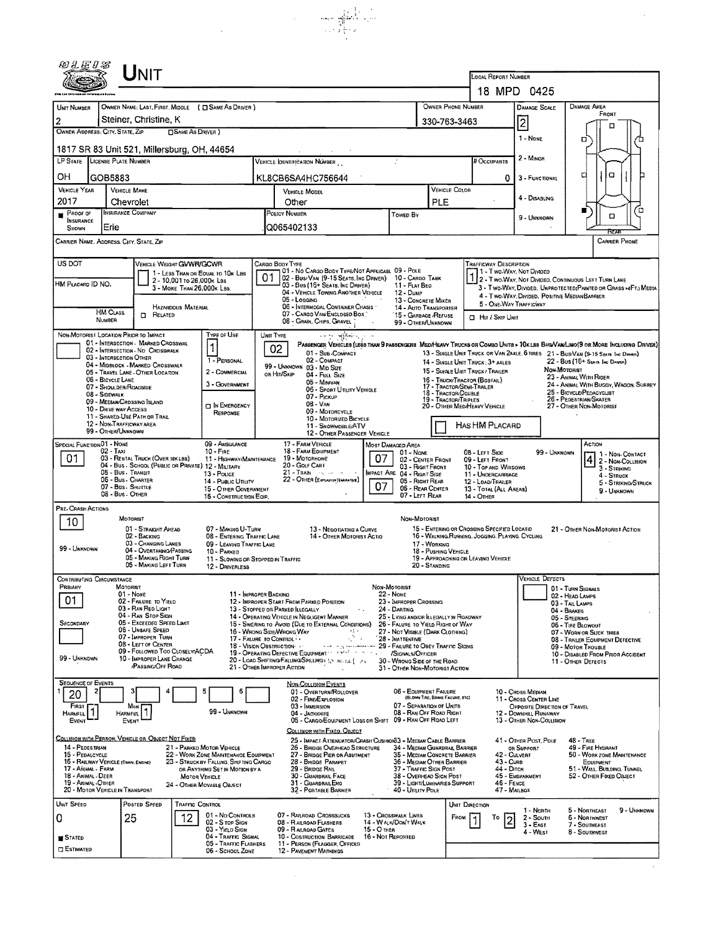| @LEIS                                                                                                             |                                                              | Unit                                                                                   |                           |                                                                                |                                       |                 |                                                                                                                                              |                                  |                                                                             |               |                                                  |                                                                                                                       |                                                                           |                                    |                                                                                             |                                                                  |  |
|-------------------------------------------------------------------------------------------------------------------|--------------------------------------------------------------|----------------------------------------------------------------------------------------|---------------------------|--------------------------------------------------------------------------------|---------------------------------------|-----------------|----------------------------------------------------------------------------------------------------------------------------------------------|----------------------------------|-----------------------------------------------------------------------------|---------------|--------------------------------------------------|-----------------------------------------------------------------------------------------------------------------------|---------------------------------------------------------------------------|------------------------------------|---------------------------------------------------------------------------------------------|------------------------------------------------------------------|--|
|                                                                                                                   |                                                              |                                                                                        |                           |                                                                                |                                       |                 |                                                                                                                                              |                                  |                                                                             |               |                                                  | LOCAL REPORT NUMBER                                                                                                   |                                                                           |                                    |                                                                                             |                                                                  |  |
|                                                                                                                   |                                                              |                                                                                        |                           |                                                                                |                                       |                 |                                                                                                                                              |                                  |                                                                             |               |                                                  | 18 MPD 0425                                                                                                           |                                                                           |                                    |                                                                                             |                                                                  |  |
| UNIT NUMBER                                                                                                       |                                                              |                                                                                        |                           | OWNER NAME: LAST, FIRST, MIDDLE ( C SAME AS DRIVER )                           |                                       |                 |                                                                                                                                              |                                  |                                                                             |               | OWNER PHONE NUMBER                               |                                                                                                                       | <b>DAMAGE SCALE</b>                                                       |                                    | <b>DAMAGE AREA</b><br>Front                                                                 |                                                                  |  |
| 2<br>OWNER ADDRESS: CITY, STATE, ZIP                                                                              |                                                              | Steiner, Christine, K                                                                  | <b>CISAME AS DRIVER )</b> |                                                                                |                                       |                 |                                                                                                                                              |                                  |                                                                             |               | 330-763-3463                                     |                                                                                                                       | 2                                                                         |                                    |                                                                                             | □                                                                |  |
| 1817 SR 83 Unit 521, Millersburg, OH, 44654                                                                       |                                                              |                                                                                        |                           |                                                                                |                                       |                 |                                                                                                                                              |                                  |                                                                             |               |                                                  |                                                                                                                       | 1 - NONE                                                                  |                                    | ם                                                                                           |                                                                  |  |
| LP STATE LICENSE PLATE NUMBER                                                                                     |                                                              |                                                                                        |                           |                                                                                |                                       |                 | VEHICLE IDENTIFICATION NUMBER                                                                                                                |                                  |                                                                             |               |                                                  | # Occupants                                                                                                           | 2 - MINOR                                                                 |                                    |                                                                                             |                                                                  |  |
| OН                                                                                                                | GOB5883                                                      |                                                                                        |                           |                                                                                |                                       |                 | KL8CB6SA4HC756644                                                                                                                            |                                  |                                                                             |               |                                                  | 0                                                                                                                     | 3 - FUNCTIONAL                                                            |                                    | а                                                                                           | α                                                                |  |
| <b>VEHICLE YEAR</b>                                                                                               | <b>VEHICLE MAKE</b>                                          |                                                                                        |                           |                                                                                | VEHICLE COLOR<br><b>VEHICLE MODEL</b> |                 |                                                                                                                                              |                                  |                                                                             |               |                                                  |                                                                                                                       |                                                                           |                                    |                                                                                             |                                                                  |  |
| 2017                                                                                                              | Chevrolet                                                    |                                                                                        |                           |                                                                                |                                       |                 | Other                                                                                                                                        |                                  |                                                                             | PLE           |                                                  |                                                                                                                       | 4 - Disabling                                                             |                                    |                                                                                             |                                                                  |  |
| <b>INSURANCE</b>                                                                                                  | <b>INSURANCE COMPANY</b><br>$P$ Roof of                      |                                                                                        |                           |                                                                                |                                       |                 | POLICY NUMBER<br>Towed By                                                                                                                    |                                  |                                                                             |               |                                                  |                                                                                                                       | 9 - UNKNOWN                                                               |                                    | $\Box$                                                                                      |                                                                  |  |
| SHOWN<br>CARRIER NAME, ADDRESS, CITY, STATE, ZIP                                                                  | Erie                                                         |                                                                                        |                           |                                                                                |                                       | Q065402133      |                                                                                                                                              |                                  |                                                                             |               |                                                  |                                                                                                                       |                                                                           |                                    |                                                                                             | REAR<br><b>CARRIER PHONE</b>                                     |  |
|                                                                                                                   |                                                              |                                                                                        |                           |                                                                                |                                       |                 |                                                                                                                                              |                                  |                                                                             |               |                                                  |                                                                                                                       |                                                                           |                                    |                                                                                             |                                                                  |  |
| US DOT                                                                                                            |                                                              | VEHICLE WEIGHT GVWR/GCWR                                                               |                           |                                                                                |                                       | CARGO BODY TYPE | 01 - No CARGO BODY TYPE/NOT APPLICABL 09 - POLE                                                                                              |                                  |                                                                             |               |                                                  | <b>TRAFFICWAY DESCRIPTION</b><br>1 - Two Way, Not DIMDED                                                              |                                                                           |                                    |                                                                                             |                                                                  |  |
| 1 - LESS THAN OR EQUAL TO 10K LBS<br>2 - 10,001 to 26,000x Las<br>HM PLACARD ID NO.<br>3 - MORE THAN 26,000K LBS. |                                                              |                                                                                        |                           |                                                                                |                                       |                 | 02 - Bus/Van (9-15 Seats, Inc Driver) 10 - Cargo Tank<br>03 - Bus (16+ SEATS, INC DRIVER)                                                    |                                  | 11 - FLAT BED                                                               |               |                                                  | 2 - Two Way, Not Divided, Continuous LEFT TURN LANE                                                                   |                                                                           |                                    |                                                                                             |                                                                  |  |
|                                                                                                                   |                                                              |                                                                                        |                           |                                                                                |                                       |                 | 04 - VEHICLE TOWING ANOTHER VEHICLE<br>05 - Logging                                                                                          |                                  | 12 - Dump<br>13 - CONCRETE MIXER                                            |               |                                                  | 4 - TWO-WAY, DIVIDED, POSITIVE MEDIAN BARRIER                                                                         |                                                                           |                                    |                                                                                             | 3 - Two-WAY, DIVIDED, UNPROTECTED (PAINTED OR GRASS >4FT.) MEDIA |  |
|                                                                                                                   | <b>HM CLASS</b>                                              | <b>D</b> RELATED                                                                       | HAZARDOUS MATERIAL        |                                                                                |                                       |                 | 06 - INTERMODAL CONTAINER CHASIS .<br>07 - CARGO VAN/ENCLOSED BOX                                                                            |                                  | <b>14 - AUTO TRANSPORTER</b><br>15 - GARBAGE / REFUSE                       |               |                                                  | 5 - ONE-WAY TRAFFICWAY<br>HIT / SKIP UNIT                                                                             |                                                                           |                                    |                                                                                             |                                                                  |  |
|                                                                                                                   | NUMBER                                                       |                                                                                        |                           |                                                                                |                                       |                 | 08 - GRAIN, CHIPS, GRAVEL                                                                                                                    |                                  | 99 - OTHER/UNKNOWN                                                          |               |                                                  |                                                                                                                       |                                                                           |                                    |                                                                                             |                                                                  |  |
| NON-MOTORIST LOCATION PRIOR TO IMPACT                                                                             |                                                              | 01 - INTERSECTION - MARKED CROSSWAL                                                    |                           | Type or Use<br>$\mathbf{1}$                                                    | UNIT TYPE                             |                 | بالرحشة وحوجب<br>PASSENGER VEHICLES (LESS THAN 9 PASSENGERS MEDIMEAVY TRUCKS OR COMSO UNITS > 10KLBS BUS/VAMLIMO(9 OR MORE INCLUDING DRIVER) |                                  |                                                                             |               |                                                  |                                                                                                                       |                                                                           |                                    |                                                                                             |                                                                  |  |
|                                                                                                                   | 03 - INTERSECTION OTHER                                      | 02 - INTERSECTION - NO CROSSWALK                                                       |                           | 1 - PERSONAL                                                                   |                                       | 02              | 01 - Sub-COMPACT<br>02 - COMPACT                                                                                                             |                                  |                                                                             |               |                                                  | 13 - SINGLE UNIT TRUCK OR VAN 2AXLE, 6 TIRES 21 - BUS/VAN (9-15 SEATS for DRIVER)<br>14 - SINGLE UNIT TRUCK: 3+ AXLES |                                                                           |                                    | 22 - BUS (16+ SEATS INC DRANET)                                                             |                                                                  |  |
|                                                                                                                   |                                                              | 04 - MIDBLOCK - MARKED CROSSWALK<br>05 - TRAVEL LANE - OTHER LOCATION                  |                           | 2 - COMMERCIAL                                                                 |                                       | or Hit/Skip     | 99 - UNKNOWN 03 - MID SIZE<br>04 - FULL SIZE                                                                                                 |                                  |                                                                             |               |                                                  | 15 - SINGLE UNIT TRUCK/TRAILER                                                                                        |                                                                           | NON-MOTORIST                       | 23 - ANIMAL WITH RIDER                                                                      |                                                                  |  |
|                                                                                                                   | 06 - BICYCLE LANE<br>07 - SHOULDER/ROADSIDE<br>08 - Sidewalk |                                                                                        |                           | 3 - GOVERNMENT                                                                 |                                       |                 | 05 - Minnyan<br>06 - Sport Unuty Vehicle                                                                                                     |                                  |                                                                             |               | 17 - TRACTOR/SEMI-TRAILER<br>18 - TRACTOR/DOUBLE | 16 - TRUCK/TRACTOR (BOBTAIL)                                                                                          |                                                                           |                                    | 25 - BICYCLE/PEDACYCUST                                                                     | 24 - ANIMAL WITH BUGGY, WAGON, SURREY                            |  |
|                                                                                                                   | 09 - MEDIAN CROSSING ISLAND<br>10 - Drive way Access         |                                                                                        |                           | <b>CI IN EMERGENCY</b>                                                         |                                       |                 | 07 - Pickup<br>08 - VAN                                                                                                                      |                                  |                                                                             |               | 19 - TRACTOR/TRIPLES                             | 20 - OTHER MEDIHEAVY VEHICLE                                                                                          |                                                                           |                                    | 26 - PEDESTRIAN/SKATER<br>27 - Other Non-Motorist                                           |                                                                  |  |
|                                                                                                                   | 12 - NON-TRAFFICWAY AREA                                     | 11 - SHARED-USE PATH OR TRAIL                                                          |                           | RESPONSE                                                                       |                                       |                 | 09 - MOTORCYCLE<br>10 - MOTORIZED BICYCLE                                                                                                    |                                  |                                                                             |               |                                                  |                                                                                                                       |                                                                           |                                    |                                                                                             |                                                                  |  |
|                                                                                                                   | 99 - OTHER/UNKNOWN                                           |                                                                                        |                           |                                                                                |                                       |                 | 11 - SNOWMOBILE/ATV<br>12 - OTHER PASSENDER VEHICLE                                                                                          |                                  |                                                                             |               |                                                  | <b>HAS HM PLACARD</b>                                                                                                 |                                                                           |                                    |                                                                                             |                                                                  |  |
| <b>SPECIAL FUNCTION 01 - NONE</b>                                                                                 | $02 - TAXI$                                                  |                                                                                        |                           | 09 - AMBULANCE<br>$10 -$ Fine                                                  |                                       |                 | 17 - FARM VEHICLE<br>18 - FARM EQUIPMENT                                                                                                     |                                  | MOST DAMAGED AREA<br>01 - NONE                                              |               |                                                  | 08 - LEFT SIDE                                                                                                        |                                                                           | 99 - UNKNOWN                       | ACTION                                                                                      | 1 - Non-Contact                                                  |  |
| 01                                                                                                                |                                                              | 03 - RENTAL TRUCK (OVER 18KLBS)<br>04 - Bus - School (Public or Private) 12 - Military |                           | 11 - HIGHWAY/MAINTENANCE 19 - MOTORHOME                                        |                                       |                 | 20 - GOLF CART                                                                                                                               | 07                               | 02 - CENTER FRONT<br>03 - Right Front                                       |               |                                                  | 09 - LEFT FRONT<br>10 - Top and Windows                                                                               |                                                                           |                                    |                                                                                             | 2 - Non-Collision<br>3 - STRIKING                                |  |
|                                                                                                                   | 05 - Bus. TRANSIT<br>05 - Bus - Charter                      |                                                                                        |                           | 13 - Pouce<br>14 - Pustic Unury                                                |                                       |                 | 21 - TRAIN - 19 - 19 - 19<br>22 - OTHER (EXPLANT NARRATIVE)                                                                                  |                                  | <b>IMPACT ARE 04 - RIGHT SIDE</b><br>05 - RIGHT REAR                        |               |                                                  | 11 - UNDERCARRIAGE<br>12 - LOAD/TRAILER                                                                               |                                                                           |                                    |                                                                                             | $4 -$ STRUCK<br>5 - STRIKING/STRUCK                              |  |
|                                                                                                                   | 07 - Bus - SHUTTLE<br>08 - Bus. OTHER                        |                                                                                        |                           | 15 - OTHER GOVERNMENT<br>16 - CONSTRUCTION EQIP.                               |                                       |                 |                                                                                                                                              | 07                               | 06 - REAR CENTER<br>07 - LEFT REAR                                          |               |                                                  | 13 - TOTAL (ALL AREAS)<br>14 - OTHER                                                                                  |                                                                           |                                    |                                                                                             | 9 - UNKNOWN                                                      |  |
| PRE-CRASH ACTIONS                                                                                                 |                                                              |                                                                                        |                           |                                                                                |                                       |                 |                                                                                                                                              |                                  |                                                                             |               |                                                  |                                                                                                                       |                                                                           |                                    |                                                                                             |                                                                  |  |
| 10                                                                                                                | MOTORIST                                                     | 01 - STRAIGHT AHEAD                                                                    |                           | 07 - MAKING U-TURN                                                             |                                       |                 | 13 - Negotiating a Curve                                                                                                                     |                                  | NON-MOTORIST                                                                |               |                                                  | 15 - ENTERING OR CROSSING SPECIFIED LOCATIO                                                                           |                                                                           |                                    | 21 - Other Non-Motorist Action                                                              |                                                                  |  |
|                                                                                                                   |                                                              | 02 - BACKING<br>03 - CHANGING LANES                                                    |                           | 08 - ENTERING TRAFFIC LANE<br>09 - LEAVING TRAFFIC LANE                        |                                       |                 | 14 - OTHER MOTORIST ACTIO                                                                                                                    |                                  |                                                                             | 17 - Working  |                                                  | 16 - WALKING, RUNNING, JOGGING, PLAYING, CYCLING                                                                      |                                                                           |                                    |                                                                                             |                                                                  |  |
| 99 - UNKNOWN                                                                                                      |                                                              | 04 - OVERTAKING/PASSING<br>05 - MAKING RIGHT TURN                                      |                           | 10 - PARKED<br>11 - SLOWING OR STOPPED IN TRAFFIC                              |                                       |                 |                                                                                                                                              |                                  |                                                                             |               | 18 - Pushing VEHICLE                             | 19 - APPROACHING OR LEAVING VEHICLE                                                                                   |                                                                           |                                    |                                                                                             |                                                                  |  |
|                                                                                                                   |                                                              | 05 - MAKING LEFT TURN                                                                  |                           | 12 - DRIVERLESS                                                                |                                       |                 |                                                                                                                                              |                                  |                                                                             | 20 - STANDING |                                                  |                                                                                                                       | VEHICLE DEFECTS                                                           |                                    |                                                                                             |                                                                  |  |
| CONTRIBUTING CIRCUMSTANCE<br>Primary                                                                              | MOTORIST                                                     |                                                                                        |                           |                                                                                |                                       |                 |                                                                                                                                              |                                  | NON-MOTORIST                                                                |               |                                                  |                                                                                                                       |                                                                           | 01 - TURN SIGNALS                  |                                                                                             |                                                                  |  |
| 01                                                                                                                | 01 - NONE                                                    | 02 - FAILURE TO YIELD<br>03 - RAN RED LIGHT                                            |                           | 11 - IMPROPER BACKING                                                          |                                       |                 | 12 - IMPROPER START FROM PARKED POSITION<br>13 - STOPPED OR PARKED LLEGALLY                                                                  |                                  | 22 - None<br>23 - IMPROPER CROSSING<br>24 - DARTING                         |               |                                                  |                                                                                                                       |                                                                           | 02 - HEAD LAMPS<br>03 - TAIL LAMPS |                                                                                             |                                                                  |  |
| SECONDARY                                                                                                         |                                                              | 04 - RAN STOP SIGN<br>05 - Exceeped Speed Limit                                        |                           |                                                                                |                                       |                 | 14 - OPERATING VEHICLE IN NEGLIGENT MANNER<br>15 - Swering to Avoid (Due to External Conditions)                                             |                                  | 25 - LYING AND/OR ILLEGALLY IN ROADWAY<br>26 - FALURE TO YIELD RIGHT OF WAY |               |                                                  |                                                                                                                       |                                                                           | 04 - BRAKES<br>05 - STEERING       |                                                                                             |                                                                  |  |
|                                                                                                                   |                                                              | 06 - UNSAFE SPEED<br>07 - IMPROPER TURN                                                |                           | 16 - Wrong Side/Wrong Way<br>17 - FALURE TO CONTROL                            |                                       |                 |                                                                                                                                              | 92. F                            | 27 - NOT VISIBLE (DARK CLOTHING)<br>28 - INATTENTIVE                        |               |                                                  |                                                                                                                       |                                                                           | 06 - TIRE BLOWOUT                  | 07 - WORN OR SLICK TIRES                                                                    |                                                                  |  |
|                                                                                                                   |                                                              | 08 - LEFT OF CENTER<br>09 - Followed Too Closely/ACDA                                  |                           | 18 - Vision Oastruction                                                        |                                       |                 | n an Long neacontair an a<br>19 - OPERATING DEFECTIVE EQUIPMENT 11 P. M. S. L. L. L. L. L.                                                   |                                  | 29 - FAILURE TO OBEY TRAFFIC SIGNS<br>/SIGNALS/OFFICER                      |               |                                                  |                                                                                                                       |                                                                           |                                    | 08 - TRAILER EQUIPMENT DEFECTIVE<br>09 - MOTOR TROUBLE<br>10 - DISABLED FROM PRIOR ACCIDENT |                                                                  |  |
| 99 - UNKNOWN                                                                                                      |                                                              | 10 - IMPROPER LANE CHANGE<br><b>PASSING OFF ROAD</b>                                   |                           | 21 - OTHER IMPROPER ACTION                                                     |                                       |                 | 20 - LOAD SHIFTING/FALLINGSPILLINGS SACTION [ 23                                                                                             |                                  | 30 - WRONG SIDE OF THE ROAD<br>31 - OTHER NON-MOTORIST ACTION               |               |                                                  |                                                                                                                       |                                                                           |                                    | 11 - OTHER DEFECTS                                                                          |                                                                  |  |
| <b>SEQUENCE OF EVENTS</b>                                                                                         |                                                              |                                                                                        |                           |                                                                                |                                       |                 | NON-COLLISION EVENTS                                                                                                                         |                                  |                                                                             |               |                                                  |                                                                                                                       |                                                                           |                                    |                                                                                             |                                                                  |  |
| 20                                                                                                                |                                                              |                                                                                        |                           |                                                                                |                                       |                 | 01 - OVERTURN/ROLLOVER<br>02 - FIRE/EXPLOSION                                                                                                |                                  | 06 - EQUIPMENT FAILURE                                                      |               | (BLOWN TIRE, BRAKE FAILURE, ETC)                 |                                                                                                                       | 10 - Cross Median<br>11 - Cross Center Line                               |                                    |                                                                                             |                                                                  |  |
| <b>FIRST F</b><br>HARMFUL <sup>1</sup>                                                                            | HARMFUL                                                      | Mast                                                                                   |                           | 99 - UNKNOWN                                                                   |                                       |                 | 03 - IMMERSION<br>04 - JACKKNIFE                                                                                                             |                                  | 07 - SEPARATION OF UNITS<br>08 - RAN OFF ROAD RIGHT                         |               |                                                  |                                                                                                                       | OPPOSITE DIRECTION OF TRAVEL<br>12 - DOWNHILL RUNAWAY                     |                                    |                                                                                             |                                                                  |  |
| EVENT                                                                                                             | EVENT                                                        |                                                                                        |                           |                                                                                |                                       |                 | 05 - CARGO/EQUIPMENT LOSS OR SHIFT 09 - RAN OFF ROAD LEFT<br>COLLISION WITH FIXED, OBJECT                                                    |                                  |                                                                             |               |                                                  |                                                                                                                       | 13 - OTHER NON-COLLISION                                                  |                                    |                                                                                             |                                                                  |  |
| COLLISION WITH PERSON, VEHICLE OR OBJECT NOT FIXED<br>14 - PEDESTRIAN                                             |                                                              |                                                                                        |                           | 21 - PARKED MOTOR VEHICLE                                                      |                                       |                 | 25 - IMPACT ATTENUATOR/CRASH CUSHION33 - MEDIAN CABLE BARRIER<br>26 - BRIDGE OVERHEAD STRUCTURE                                              |                                  | 34 - MEDIAN GUARDRAIL BARRIER                                               |               |                                                  |                                                                                                                       | 41 - OTHER POST, POLE<br>OR SUPPORT                                       |                                    | $48 -$ TREE<br>49 - FIRE HYDRANT                                                            |                                                                  |  |
| 15 - PEDALCYCLE<br>16 - RARWAY VEHICLE (TRAIN, ENDINE)                                                            |                                                              |                                                                                        |                           | 22 - WORK ZONE MAINTENANCE EQUIPMENT<br>23 - Struck by Falling, Shifting Cargo |                                       |                 | 27 - BRIDGE PIER OR ABUTMENT<br>28 - BRIDGE PARAPET                                                                                          |                                  | 35 - MEDIAN CONCRETE BARRIER<br>36 - MEDIAN OTHER BARRIER                   |               |                                                  | 43 - Cuna                                                                                                             | 42 - Culvert                                                              |                                    | EQUIPMENT                                                                                   | 50 - WORK ZONE MAINTENANCE                                       |  |
| 17 - ANIMAL - FARM<br>18 - ANIMAL - DEER                                                                          |                                                              |                                                                                        | <b>MOTOR VEHICLE</b>      | OR ANYTHING SET IN MOTION BY A                                                 |                                       |                 | 29 - Bridge Rail<br>30 - GUARDRAIL FACE                                                                                                      |                                  | 37 - TRAFFIC SIGN POST<br>38 - Overhead Sign Post                           |               |                                                  | 44 - Олтон                                                                                                            | 51 - WALL, BUILDING, TUNNEL<br>45 - EMBANKMENT<br>52 - OTHER FIXED OBJECT |                                    |                                                                                             |                                                                  |  |
| 19 - ANIMAL -OTHER<br>20 - MOTOR VEHICLE IN TRANSPORT                                                             |                                                              |                                                                                        |                           | 24 - Отнев Моуавце Овлест                                                      |                                       |                 | 31 - GUARDRAILEND<br>32 - PORTABLE BARRIER                                                                                                   |                                  | 39 - LIGHT/LUMINARIES SUPPORT<br>40 - Unury Pole                            |               |                                                  | 46 - FENCE<br>47 - MAILBOX                                                                                            |                                                                           |                                    |                                                                                             |                                                                  |  |
| Unit Speed                                                                                                        |                                                              | POSTED SPEED                                                                           | <b>TRAFFIC CONTROL</b>    |                                                                                |                                       |                 |                                                                                                                                              |                                  |                                                                             |               | UNIT DIRECTION                                   |                                                                                                                       |                                                                           |                                    |                                                                                             |                                                                  |  |
| 0                                                                                                                 | 25                                                           |                                                                                        | 12                        | 01 - No CONTROLS<br>02 - S TOP SIGN                                            |                                       |                 | 07 - RAILROAD CROSSBUCKS<br>08 - RAILROAD FLASHERS                                                                                           |                                  | 13 - CROSSWALK LINES<br>14 - WALNDON'T WALK                                 |               | FROM                                             | Т٥<br>2                                                                                                               | 1 - North<br>$2 -$ South<br>$3 - E$ AST                                   |                                    | 5 - Northeast<br>6 - NORTHWEST<br>7 - SOUTHEAST                                             | 9 - UNKNOWN                                                      |  |
| STATED                                                                                                            |                                                              |                                                                                        |                           | 03 - YIELD SIGN<br>04 - TRAFFIC SIGNAL                                         |                                       |                 | 09 - R ALROAD GATES<br>10 - COSTRUCTION BARRICADE                                                                                            | 15 - O THER<br>16 - Not Reported |                                                                             |               |                                                  |                                                                                                                       | 4 - West                                                                  |                                    | 8 - Southwest                                                                               |                                                                  |  |
| <b>DESTIMATED</b>                                                                                                 |                                                              |                                                                                        |                           | 05 - TRAFFIC FLASHERS<br>06 - School Zone                                      |                                       |                 | 11 - PERSON (FLAGGER, OFFICER<br>12 - PAVEMENT MARKINGS                                                                                      |                                  |                                                                             |               |                                                  |                                                                                                                       |                                                                           |                                    |                                                                                             |                                                                  |  |
|                                                                                                                   |                                                              |                                                                                        |                           |                                                                                |                                       |                 |                                                                                                                                              |                                  |                                                                             |               |                                                  |                                                                                                                       |                                                                           |                                    |                                                                                             |                                                                  |  |

 $\hat{\mathcal{L}}$